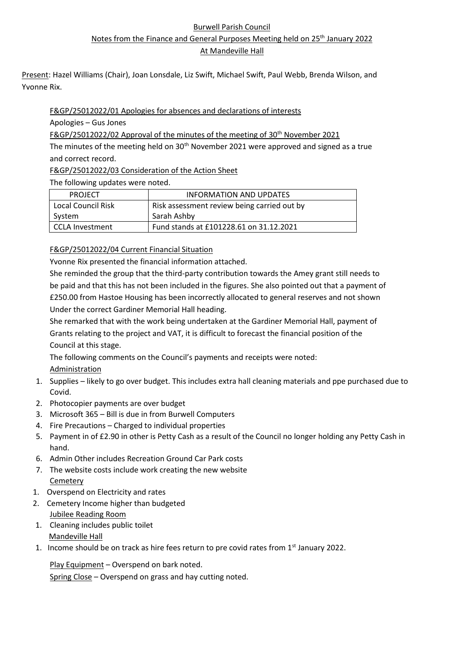#### Burwell Parish Council

Notes from the Finance and General Purposes Meeting held on 25<sup>th</sup> January 2022

At Mandeville Hall

Present: Hazel Williams (Chair), Joan Lonsdale, Liz Swift, Michael Swift, Paul Webb, Brenda Wilson, and Yvonne Rix.

### F&GP/25012022/01 Apologies for absences and declarations of interests

Apologies – Gus Jones

F&GP/25012022/02 Approval of the minutes of the meeting of 30<sup>th</sup> November 2021

The minutes of the meeting held on  $30<sup>th</sup>$  November 2021 were approved and signed as a true and correct record.

F&GP/25012022/03 Consideration of the Action Sheet

The following updates were noted.

| <b>PROJECT</b>     | INFORMATION AND UPDATES                     |
|--------------------|---------------------------------------------|
| Local Council Risk | Risk assessment review being carried out by |
| System             | Sarah Ashby                                 |
| l CCLA Investment  | Fund stands at £101228.61 on 31.12.2021     |

#### F&GP/25012022/04 Current Financial Situation

Yvonne Rix presented the financial information attached.

She reminded the group that the third-party contribution towards the Amey grant still needs to be paid and that this has not been included in the figures. She also pointed out that a payment of £250.00 from Hastoe Housing has been incorrectly allocated to general reserves and not shown Under the correct Gardiner Memorial Hall heading.

She remarked that with the work being undertaken at the Gardiner Memorial Hall, payment of Grants relating to the project and VAT, it is difficult to forecast the financial position of the Council at this stage.

The following comments on the Council's payments and receipts were noted: Administration

- 1. Supplies likely to go over budget. This includes extra hall cleaning materials and ppe purchased due to Covid.
- 2. Photocopier payments are over budget
- 3. Microsoft 365 Bill is due in from Burwell Computers
- 4. Fire Precautions Charged to individual properties
- 5. Payment in of £2.90 in other is Petty Cash as a result of the Council no longer holding any Petty Cash in hand.
- 6. Admin Other includes Recreation Ground Car Park costs
- 7. The website costs include work creating the new website **Cemetery**
- 1. Overspend on Electricity and rates
- 2. Cemetery Income higher than budgeted Jubilee Reading Room
- 1. Cleaning includes public toilet Mandeville Hall
- 1. Income should be on track as hire fees return to pre covid rates from  $1<sup>st</sup>$  January 2022.

Play Equipment – Overspend on bark noted. Spring Close – Overspend on grass and hay cutting noted.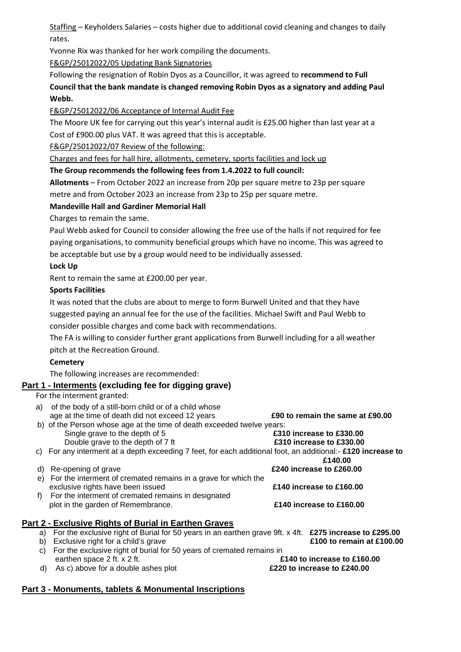Staffing – Keyholders Salaries – costs higher due to additional covid cleaning and changes to daily rates.

Yvonne Rix was thanked for her work compiling the documents.

F&GP/25012022/05 Updating Bank Signatories

Following the resignation of Robin Dyos as a Councillor, it was agreed to **recommend to Full Council that the bank mandate is changed removing Robin Dyos as a signatory and adding Paul Webb.**

F&GP/25012022/06 Acceptance of Internal Audit Fee

The Moore UK fee for carrying out this year's internal audit is £25.00 higher than last year at a Cost of £900.00 plus VAT. It was agreed that this is acceptable.

F&GP/25012022/07 Review of the following:

Charges and fees for hall hire, allotments, cemetery, sports facilities and lock up

**The Group recommends the following fees from 1.4.2022 to full council:**

**Allotments** – From October 2022 an increase from 20p per square metre to 23p per square metre and from October 2023 an increase from 23p to 25p per square metre.

#### **Mandeville Hall and Gardiner Memorial Hall**

Charges to remain the same.

Paul Webb asked for Council to consider allowing the free use of the halls if not required for fee paying organisations, to community beneficial groups which have no income. This was agreed to be acceptable but use by a group would need to be individually assessed.

**Lock Up**

Rent to remain the same at £200.00 per year.

#### **Sports Facilities**

It was noted that the clubs are about to merge to form Burwell United and that they have suggested paying an annual fee for the use of the facilities. Michael Swift and Paul Webb to consider possible charges and come back with recommendations.

The FA is willing to consider further grant applications from Burwell including for a all weather

pitch at the Recreation Ground.

## **Cemetery**

The following increases are recommended:

## **Part 1 - Interments (excluding fee for digging grave)**

For the interment granted:

a) of the body of a still-born child or of a child whose age at the time of death did not exceed 12 years **£90 to remain the same at £90.00** b) of the Person whose age at the time of death exceeded twelve years: Single grave to the depth of 5 **£310 increase to £330.00** Double grave to the depth of 7 ft **£310 increase to £330.00** c) For any interment at a depth exceeding 7 feet, for each additional foot, an additional:- **£120 increase to £140.00**  d) Re-opening of grave **£240 increase to £260.00** e) For the interment of cremated remains in a grave for which the exclusive rights have been issued **£140 increase to £160.00** f) For the interment of cremated remains in designated plot in the garden of Remembrance. **£140 increase to £160.00 Part 2 - Exclusive Rights of Burial in Earthen Graves** a) For the exclusive right of Burial for 50 years in an earthen grave 9ft. x 4ft. **£275 increase to £295.00** b) Exclusive right for a child's grave **£100 to remain at £100.00** c) For the exclusive right of burial for 50 years of cremated remains in earthen space 2 ft. x 2 ft. **£140 to increase to £160.00** d) As c) above for a double ashes plot **£220 to increase to £240.00**

## **Part 3 - Monuments, tablets & Monumental Inscriptions**